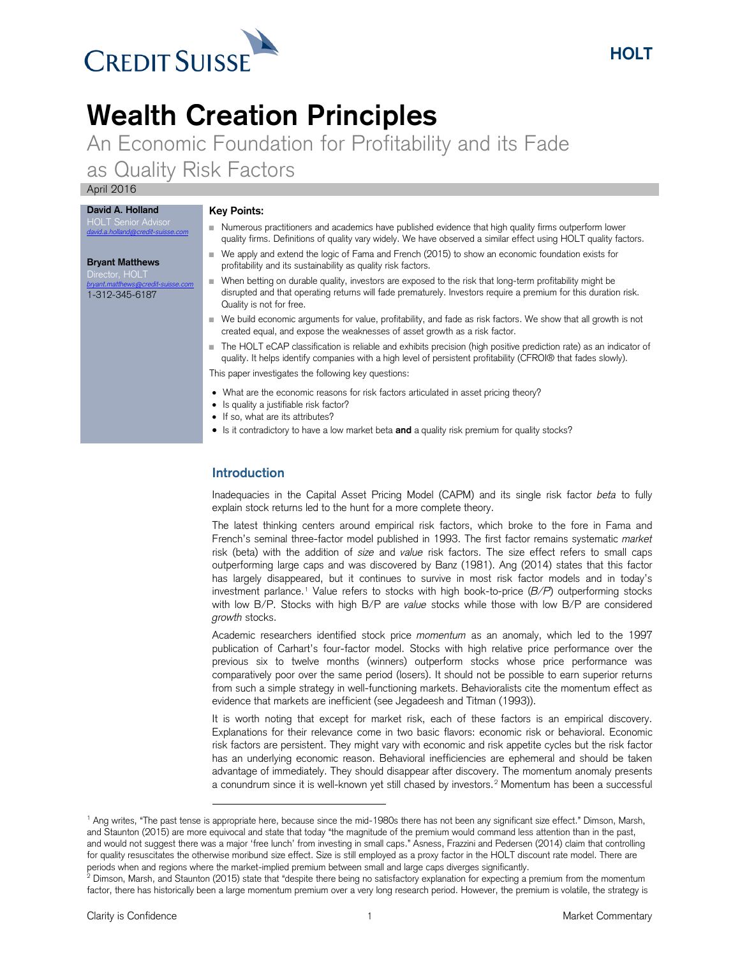

# **Wealth Creation Principles**

An Economic Foundation for Profitability and its Fade as Quality Risk Factors

April 2016

Numerous practitioners and academics have published evidence that high quality firms outperform lower

#### **Bryant Matthews**

**David A. Holland** HOLT Senior Advisor *[david.a.holland@credit-suisse.com](mailto:david.a.holland@credit-suisse.com)*

*[bryant.matthews@credit-suisse.com](mailto:bryant.matthews@credit-suisse.com)* 1-312-345-6187

- **Key Points:**
- quality firms. Definitions of quality vary widely. We have observed a similar effect using HOLT quality factors.
- We apply and extend the logic of Fama and French (2015) to show an economic foundation exists for profitability and its sustainability as quality risk factors.
- When betting on durable quality, investors are exposed to the risk that long-term profitability might be disrupted and that operating returns will fade prematurely. Investors require a premium for this duration risk. Quality is not for free.
- We build economic arguments for value, profitability, and fade as risk factors. We show that all growth is not created equal, and expose the weaknesses of asset growth as a risk factor.
- The HOLT eCAP classification is reliable and exhibits precision (high positive prediction rate) as an indicator of quality. It helps identify companies with a high level of persistent profitability (CFROI® that fades slowly).

This paper investigates the following key questions:

- What are the economic reasons for risk factors articulated in asset pricing theory?
- Is quality a justifiable risk factor?
- If so, what are its attributes?
- Is it contradictory to have a low market beta **and** a quality risk premium for quality stocks?

# **Introduction**

l

Inadequacies in the Capital Asset Pricing Model (CAPM) and its single risk factor *beta* to fully explain stock returns led to the hunt for a more complete theory.

The latest thinking centers around empirical risk factors, which broke to the fore in Fama and French's seminal three-factor model published in 1993. The first factor remains systematic *market* risk (beta) with the addition of *size* and *value* risk factors. The size effect refers to small caps outperforming large caps and was discovered by Banz (1981). Ang (2014) states that this factor has largely disappeared, but it continues to survive in most risk factor models and in today's investment parlance.[1](#page-0-0) Value refers to stocks with high book-to-price (*B/P*) outperforming stocks with low B/P. Stocks with high B/P are *value* stocks while those with low B/P are considered *growth* stocks.

Academic researchers identified stock price *momentum* as an anomaly, which led to the 1997 publication of Carhart's four-factor model. Stocks with high relative price performance over the previous six to twelve months (winners) outperform stocks whose price performance was comparatively poor over the same period (losers). It should not be possible to earn superior returns from such a simple strategy in well-functioning markets. Behavioralists cite the momentum effect as evidence that markets are inefficient (see Jegadeesh and Titman (1993)).

It is worth noting that except for market risk, each of these factors is an empirical discovery. Explanations for their relevance come in two basic flavors: economic risk or behavioral. Economic risk factors are persistent. They might vary with economic and risk appetite cycles but the risk factor has an underlying economic reason. Behavioral inefficiencies are ephemeral and should be taken advantage of immediately. They should disappear after discovery. The momentum anomaly presents a conundrum since it is well-known yet still chased by investors. [2](#page-0-1) Momentum has been a successful

**HOLT**

<span id="page-0-0"></span><sup>1</sup> Ang writes, "The past tense is appropriate here, because since the mid-1980s there has not been any significant size effect." Dimson, Marsh, and Staunton (2015) are more equivocal and state that today "the magnitude of the premium would command less attention than in the past, and would not suggest there was a major 'free lunch' from investing in small caps." Asness, Frazzini and Pedersen (2014) claim that controlling for quality resuscitates the otherwise moribund size effect. Size is still employed as a proxy factor in the HOLT discount rate model. There are periods when and regions where the market-implied premium between small and large caps diverges significantly.

<span id="page-0-1"></span> $^{\circ}$  Dimson, Marsh, and Staunton (2015) state that "despite there being no satisfactory explanation for expecting a premium from the momentum factor, there has historically been a large momentum premium over a very long research period. However, the premium is volatile, the strategy is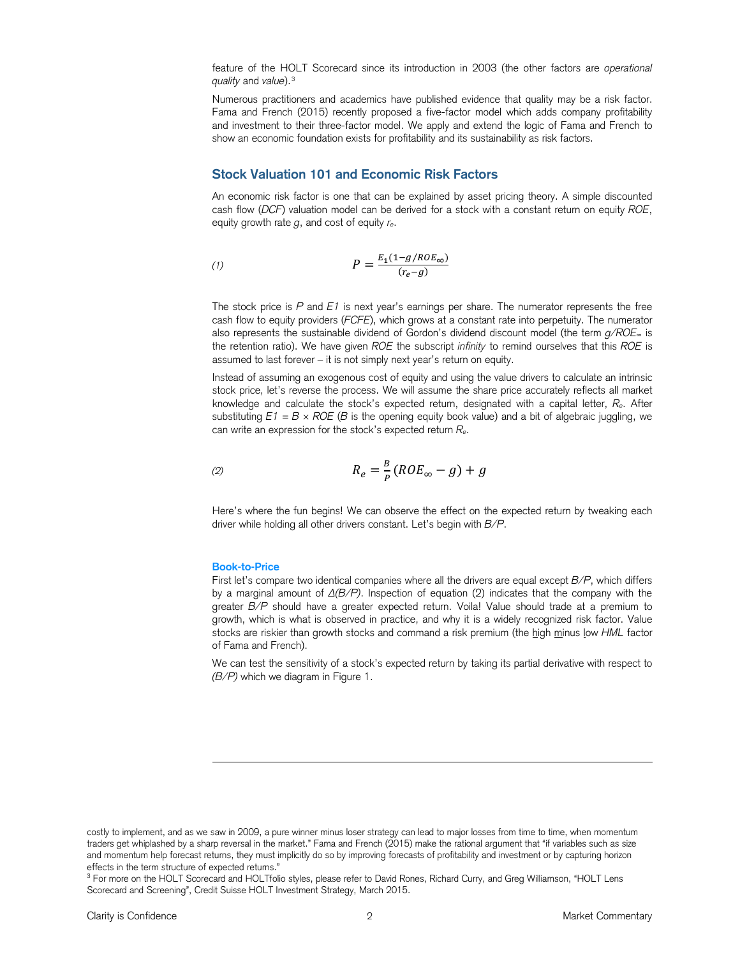feature of the HOLT Scorecard since its introduction in 2003 (the other factors are *operational quality* and *value*).[3](#page-1-0)

Numerous practitioners and academics have published evidence that quality may be a risk factor. Fama and French (2015) recently proposed a five-factor model which adds company profitability and investment to their three-factor model. We apply and extend the logic of Fama and French to show an economic foundation exists for profitability and its sustainability as risk factors.

# **Stock Valuation 101 and Economic Risk Factors**

An economic risk factor is one that can be explained by asset pricing theory. A simple discounted cash flow (*DCF*) valuation model can be derived for a stock with a constant return on equity *ROE*, equity growth rate *g*, and cost of equity *re*.

$$
P = \frac{E_1(1 - g/ROE_{\infty})}{(r_e - g)}
$$

The stock price is *P* and *E1* is next year's earnings per share. The numerator represents the free cash flow to equity providers (*FCFE*), which grows at a constant rate into perpetuity. The numerator also represents the sustainable dividend of Gordon's dividend discount model (the term *g/ROE*<sup>∞</sup> is the retention ratio). We have given *ROE* the subscript *infinity* to remind ourselves that this *ROE* is assumed to last forever – it is not simply next year's return on equity.

Instead of assuming an exogenous cost of equity and using the value drivers to calculate an intrinsic stock price, let's reverse the process. We will assume the share price accurately reflects all market knowledge and calculate the stock's expected return, designated with a capital letter, *Re*. After substituting  $E1 = B \times ROE$  (*B* is the opening equity book value) and a bit of algebraic juggling, we can write an expression for the stock's expected return *Re*.

$$
R_e = \frac{B}{P}(ROE_{\infty} - g) + g
$$

Here's where the fun begins! We can observe the effect on the expected return by tweaking each driver while holding all other drivers constant. Let's begin with *B/P*.

#### **Book-to-Price**

l

First let's compare two identical companies where all the drivers are equal except *B/P*, which differs by a marginal amount of  $\Delta(B/P)$ . Inspection of equation (2) indicates that the company with the greater *B/P* should have a greater expected return. Voila! Value should trade at a premium to growth, which is what is observed in practice, and why it is a widely recognized risk factor. Value stocks are riskier than growth stocks and command a risk premium (the high minus low *HML* factor of Fama and French).

We can test the sensitivity of a stock's expected return by taking its partial derivative with respect to *(B/P)* which we diagram in Figure 1.

costly to implement, and as we saw in 2009, a pure winner minus loser strategy can lead to major losses from time to time, when momentum traders get whiplashed by a sharp reversal in the market." Fama and French (2015) make the rational argument that "if variables such as size and momentum help forecast returns, they must implicitly do so by improving forecasts of profitability and investment or by capturing horizon effects in the term structure of expected returns."

<span id="page-1-0"></span><sup>&</sup>lt;sup>3</sup> For more on the HOLT Scorecard and HOLTfolio styles, please refer to David Rones, Richard Curry, and Greg Williamson, "HOLT Lens Scorecard and Screening", Credit Suisse HOLT Investment Strategy, March 2015.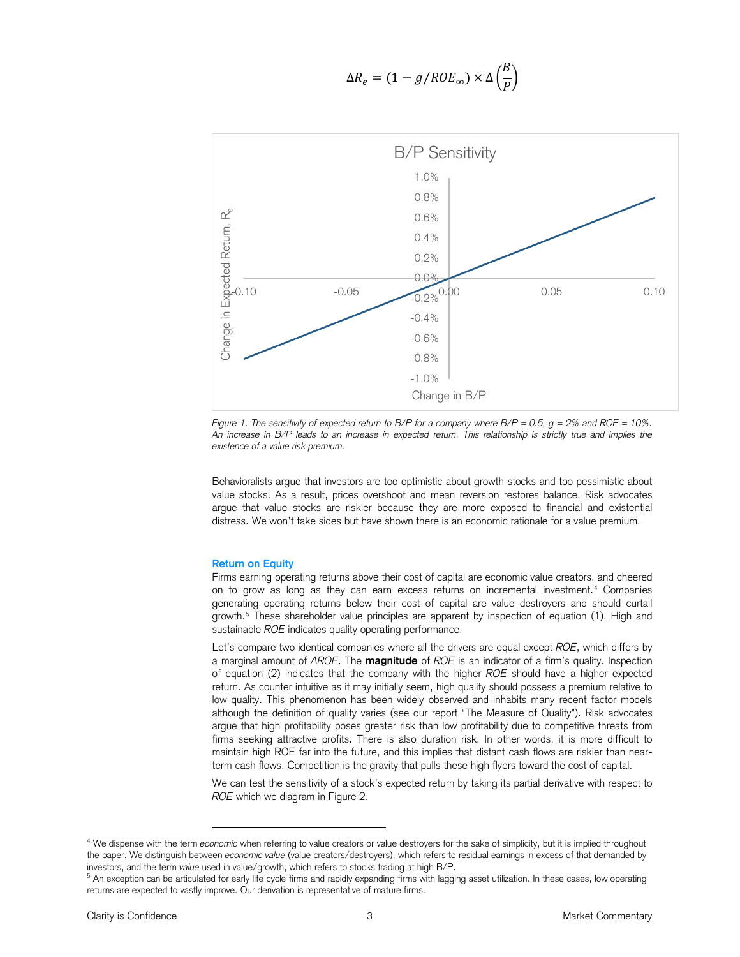$$
\Delta R_e = (1 - g / ROE_{\infty}) \times \Delta \left(\frac{B}{P}\right)
$$



*Figure 1. The sensitivity of expected return to B/P for a company where B/P = 0.5, g = 2% and ROE = 10%. An increase in B/P leads to an increase in expected return. This relationship is strictly true and implies the existence of a value risk premium.*

Behavioralists argue that investors are too optimistic about growth stocks and too pessimistic about value stocks. As a result, prices overshoot and mean reversion restores balance. Risk advocates argue that value stocks are riskier because they are more exposed to financial and existential distress. We won't take sides but have shown there is an economic rationale for a value premium.

#### **Return on Equity**

l

Firms earning operating returns above their cost of capital are economic value creators, and cheered on to grow as long as they can earn excess returns on incremental investment.[4](#page-2-0) Companies generating operating returns below their cost of capital are value destroyers and should curtail growth.[5](#page-2-1) These shareholder value principles are apparent by inspection of equation (1). High and sustainable *ROE* indicates quality operating performance.

Let's compare two identical companies where all the drivers are equal except *ROE*, which differs by a marginal amount of ΔROE. The **magnitude** of *ROE* is an indicator of a firm's quality. Inspection of equation (2) indicates that the company with the higher *ROE* should have a higher expected return. As counter intuitive as it may initially seem, high quality should possess a premium relative to low quality. This phenomenon has been widely observed and inhabits many recent factor models although the definition of quality varies (see our report "The Measure of Quality"). Risk advocates argue that high profitability poses greater risk than low profitability due to competitive threats from firms seeking attractive profits. There is also duration risk. In other words, it is more difficult to maintain high ROE far into the future, and this implies that distant cash flows are riskier than nearterm cash flows. Competition is the gravity that pulls these high flyers toward the cost of capital.

We can test the sensitivity of a stock's expected return by taking its partial derivative with respect to *ROE* which we diagram in Figure 2.

<span id="page-2-0"></span><sup>4</sup> We dispense with the term *economic* when referring to value creators or value destroyers for the sake of simplicity, but it is implied throughout the paper. We distinguish between *economic value* (value creators/destroyers), which refers to residual earnings in excess of that demanded by investors, and the term *value* used in value/growth, which refers to stocks trading at high B/P.

<span id="page-2-1"></span> $5$  An exception can be articulated for early life cycle firms and rapidly expanding firms with lagging asset utilization. In these cases, low operating returns are expected to vastly improve. Our derivation is representative of mature firms.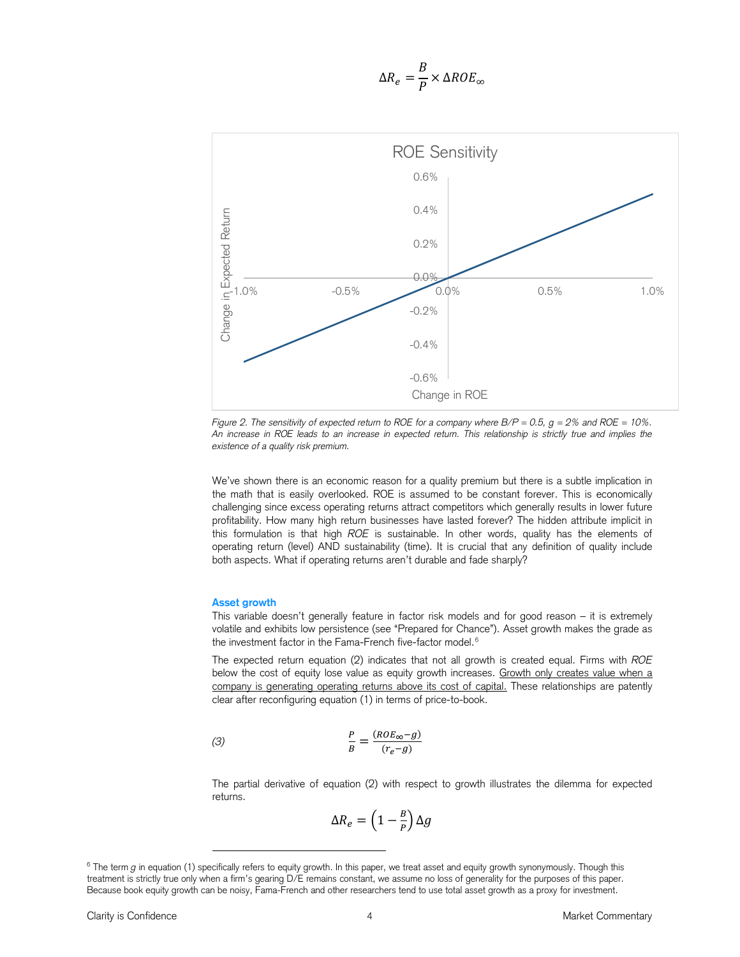$$
\Delta R_e = \frac{B}{P} \times \Delta ROE_{\infty}
$$



*Figure 2. The sensitivity of expected return to ROE for a company where B/P = 0.5, g = 2% and ROE = 10%. An increase in ROE leads to an increase in expected return. This relationship is strictly true and implies the existence of a quality risk premium.*

We've shown there is an economic reason for a quality premium but there is a subtle implication in the math that is easily overlooked. ROE is assumed to be constant forever. This is economically challenging since excess operating returns attract competitors which generally results in lower future profitability. How many high return businesses have lasted forever? The hidden attribute implicit in this formulation is that high *ROE* is sustainable. In other words, quality has the elements of operating return (level) AND sustainability (time). It is crucial that any definition of quality include both aspects. What if operating returns aren't durable and fade sharply?

#### **Asset growth**

l

This variable doesn't generally feature in factor risk models and for good reason – it is extremely volatile and exhibits low persistence (see "Prepared for Chance"). Asset growth makes the grade as the investment factor in the Fama-French five-factor model. $^6$  $^6$ 

The expected return equation (2) indicates that not all growth is created equal. Firms with *ROE* below the cost of equity lose value as equity growth increases. Growth only creates value when a company is generating operating returns above its cost of capital. These relationships are patently clear after reconfiguring equation (1) in terms of price-to-book.

(3) 
$$
\frac{P}{B} = \frac{(ROE_{\infty} - g)}{(r_e - g)}
$$

The partial derivative of equation (2) with respect to growth illustrates the dilemma for expected returns.

$$
\Delta R_{e}=\left(1-\tfrac{B}{P}\right)\Delta g
$$

<span id="page-3-0"></span><sup>&</sup>lt;sup>6</sup> The term *g* in equation (1) specifically refers to equity growth. In this paper, we treat asset and equity growth synonymously. Though this treatment is strictly true only when a firm's gearing D/E remains constant, we assume no loss of generality for the purposes of this paper. Because book equity growth can be noisy, Fama-French and other researchers tend to use total asset growth as a proxy for investment.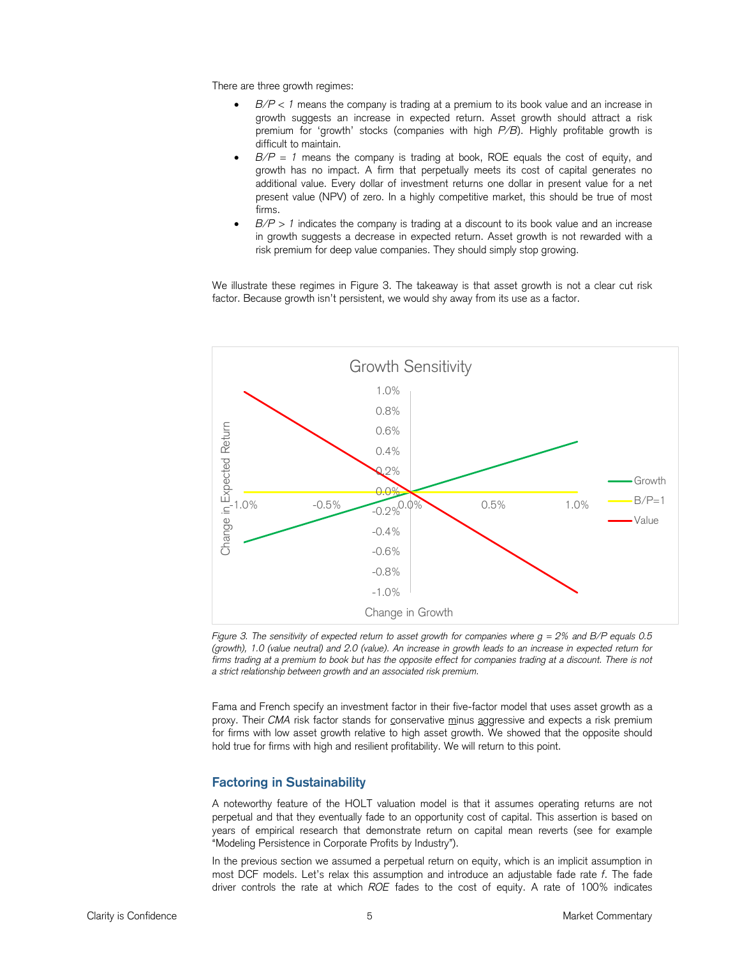There are three growth regimes:

- *B/P < 1* means the company is trading at a premium to its book value and an increase in growth suggests an increase in expected return. Asset growth should attract a risk premium for 'growth' stocks (companies with high *P/B*). Highly profitable growth is difficult to maintain.
- $B/P = 1$  means the company is trading at book, ROE equals the cost of equity, and growth has no impact. A firm that perpetually meets its cost of capital generates no additional value. Every dollar of investment returns one dollar in present value for a net present value (NPV) of zero. In a highly competitive market, this should be true of most firms.
- *B/P > 1* indicates the company is trading at a discount to its book value and an increase in growth suggests a decrease in expected return. Asset growth is not rewarded with a risk premium for deep value companies. They should simply stop growing.

We illustrate these regimes in Figure 3. The takeaway is that asset growth is not a clear cut risk factor. Because growth isn't persistent, we would shy away from its use as a factor.



*Figure 3. The sensitivity of expected return to asset growth for companies where g = 2% and B/P equals 0.5 (growth), 1.0 (value neutral) and 2.0 (value). An increase in growth leads to an increase in expected return for*  firms trading at a premium to book but has the opposite effect for companies trading at a discount. There is not *a strict relationship between growth and an associated risk premium.*

Fama and French specify an investment factor in their five-factor model that uses asset growth as a proxy. Their *CMA* risk factor stands for conservative minus aggressive and expects a risk premium for firms with low asset growth relative to high asset growth. We showed that the opposite should hold true for firms with high and resilient profitability. We will return to this point.

# **Factoring in Sustainability**

A noteworthy feature of the HOLT valuation model is that it assumes operating returns are not perpetual and that they eventually fade to an opportunity cost of capital. This assertion is based on years of empirical research that demonstrate return on capital mean reverts (see for example "Modeling Persistence in Corporate Profits by Industry").

In the previous section we assumed a perpetual return on equity, which is an implicit assumption in most DCF models. Let's relax this assumption and introduce an adjustable fade rate *f*. The fade driver controls the rate at which *ROE* fades to the cost of equity. A rate of 100% indicates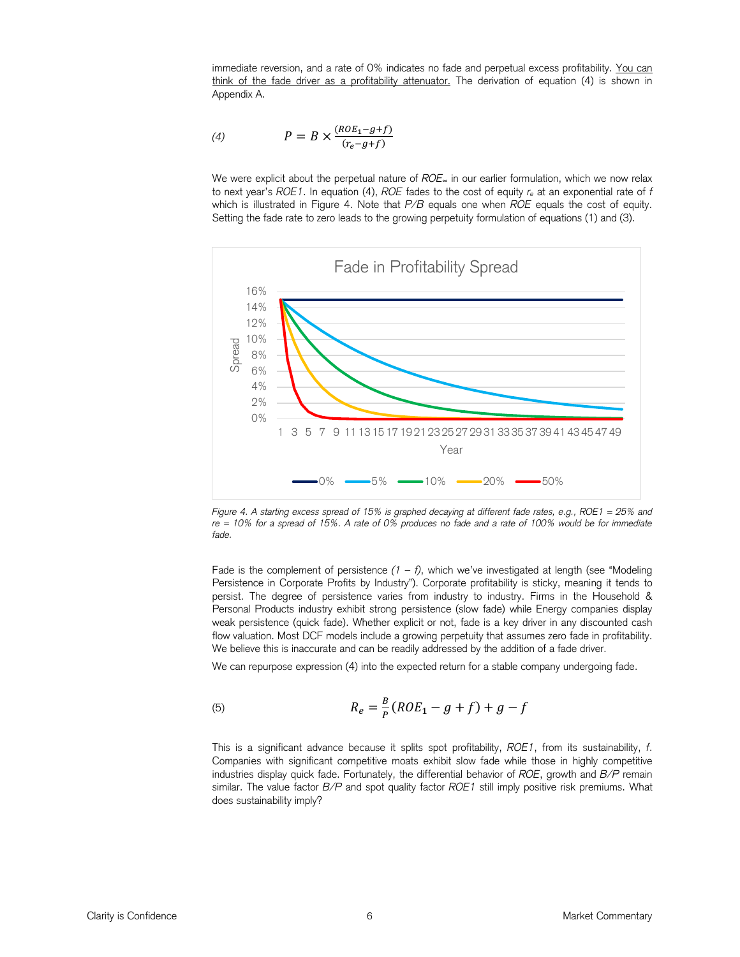immediate reversion, and a rate of 0% indicates no fade and perpetual excess profitability. You can think of the fade driver as a profitability attenuator. The derivation of equation (4) is shown in Appendix A.

$$
(4) \qquad P = B \times \frac{(ROE_1 - g + f)}{(r_e - g + f)}
$$

We were explicit about the perpetual nature of *ROE*<sup>∞</sup> in our earlier formulation, which we now relax to next year's *ROE1*. In equation (4), *ROE* fades to the cost of equity *re* at an exponential rate of *f* which is illustrated in Figure 4. Note that *P/B* equals one when *ROE* equals the cost of equity. Setting the fade rate to zero leads to the growing perpetuity formulation of equations (1) and (3).



*Figure 4. A starting excess spread of 15% is graphed decaying at different fade rates, e.g., ROE1 = 25% and re = 10% for a spread of 15%. A rate of 0% produces no fade and a rate of 100% would be for immediate fade.* 

Fade is the complement of persistence  $(1 - f)$ , which we've investigated at length (see "Modeling Persistence in Corporate Profits by Industry"). Corporate profitability is sticky, meaning it tends to persist. The degree of persistence varies from industry to industry. Firms in the Household & Personal Products industry exhibit strong persistence (slow fade) while Energy companies display weak persistence (quick fade). Whether explicit or not, fade is a key driver in any discounted cash flow valuation. Most DCF models include a growing perpetuity that assumes zero fade in profitability. We believe this is inaccurate and can be readily addressed by the addition of a fade driver.

We can repurpose expression (4) into the expected return for a stable company undergoing fade.

(5) 
$$
R_e = \frac{B}{p}(ROE_1 - g + f) + g - f
$$

This is a significant advance because it splits spot profitability, *ROE1*, from its sustainability, *f*. Companies with significant competitive moats exhibit slow fade while those in highly competitive industries display quick fade. Fortunately, the differential behavior of *ROE*, growth and *B/P* remain similar. The value factor *B/P* and spot quality factor *ROE1* still imply positive risk premiums. What does sustainability imply?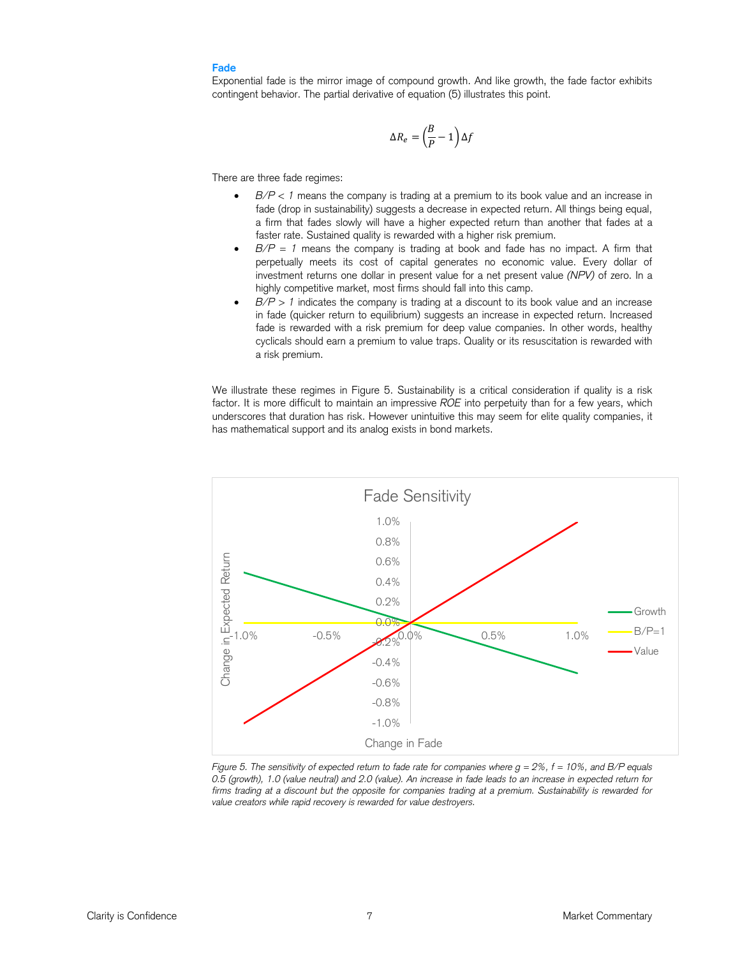# **Fade**

Exponential fade is the mirror image of compound growth. And like growth, the fade factor exhibits contingent behavior. The partial derivative of equation (5) illustrates this point.

$$
\Delta R_e = \left(\frac{B}{P} - 1\right) \Delta f
$$

There are three fade regimes:

- *B/P < 1* means the company is trading at a premium to its book value and an increase in fade (drop in sustainability) suggests a decrease in expected return. All things being equal, a firm that fades slowly will have a higher expected return than another that fades at a faster rate. Sustained quality is rewarded with a higher risk premium.
- *B/P = 1* means the company is trading at book and fade has no impact. A firm that perpetually meets its cost of capital generates no economic value. Every dollar of investment returns one dollar in present value for a net present value *(NPV)* of zero. In a highly competitive market, most firms should fall into this camp.
- $B/P > 1$  indicates the company is trading at a discount to its book value and an increase in fade (quicker return to equilibrium) suggests an increase in expected return. Increased fade is rewarded with a risk premium for deep value companies. In other words, healthy cyclicals should earn a premium to value traps. Quality or its resuscitation is rewarded with a risk premium.

We illustrate these regimes in Figure 5. Sustainability is a critical consideration if quality is a risk factor. It is more difficult to maintain an impressive *ROE* into perpetuity than for a few years, which underscores that duration has risk. However unintuitive this may seem for elite quality companies, it has mathematical support and its analog exists in bond markets.



*Figure 5. The sensitivity of expected return to fade rate for companies where g = 2%, f = 10%, and B/P equals 0.5 (growth), 1.0 (value neutral) and 2.0 (value). An increase in fade leads to an increase in expected return for*  firms trading at a discount but the opposite for companies trading at a premium. Sustainability is rewarded for *value creators while rapid recovery is rewarded for value destroyers.*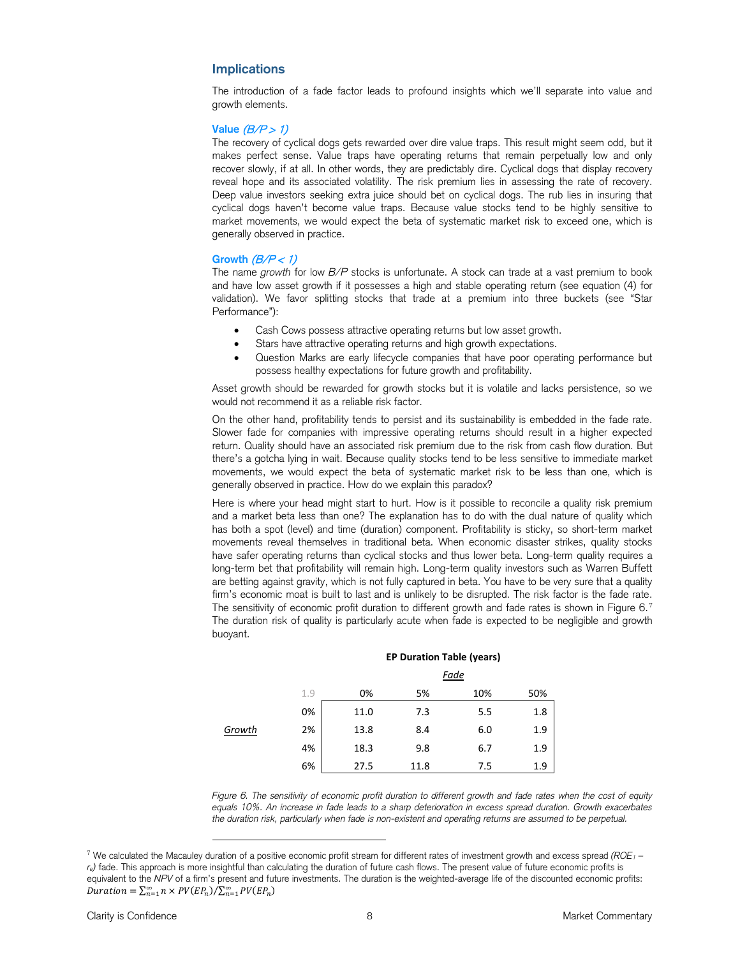# **Implications**

The introduction of a fade factor leads to profound insights which we'll separate into value and growth elements.

### **Value** (B/P > 1)

The recovery of cyclical dogs gets rewarded over dire value traps. This result might seem odd, but it makes perfect sense. Value traps have operating returns that remain perpetually low and only recover slowly, if at all. In other words, they are predictably dire. Cyclical dogs that display recovery reveal hope and its associated volatility. The risk premium lies in assessing the rate of recovery. Deep value investors seeking extra juice should bet on cyclical dogs. The rub lies in insuring that cyclical dogs haven't become value traps. Because value stocks tend to be highly sensitive to market movements, we would expect the beta of systematic market risk to exceed one, which is generally observed in practice.

#### Growth  $(B/P < 1)$

The name *growth* for low *B/P* stocks is unfortunate. A stock can trade at a vast premium to book and have low asset growth if it possesses a high and stable operating return (see equation (4) for validation). We favor splitting stocks that trade at a premium into three buckets (see "Star Performance"):

- Cash Cows possess attractive operating returns but low asset growth.
- Stars have attractive operating returns and high growth expectations.
- Question Marks are early lifecycle companies that have poor operating performance but possess healthy expectations for future growth and profitability.

Asset growth should be rewarded for growth stocks but it is volatile and lacks persistence, so we would not recommend it as a reliable risk factor.

On the other hand, profitability tends to persist and its sustainability is embedded in the fade rate. Slower fade for companies with impressive operating returns should result in a higher expected return. Quality should have an associated risk premium due to the risk from cash flow duration. But there's a gotcha lying in wait. Because quality stocks tend to be less sensitive to immediate market movements, we would expect the beta of systematic market risk to be less than one, which is generally observed in practice. How do we explain this paradox?

Here is where your head might start to hurt. How is it possible to reconcile a quality risk premium and a market beta less than one? The explanation has to do with the dual nature of quality which has both a spot (level) and time (duration) component. Profitability is sticky, so short-term market movements reveal themselves in traditional beta. When economic disaster strikes, quality stocks have safer operating returns than cyclical stocks and thus lower beta. Long-term quality requires a long-term bet that profitability will remain high. Long-term quality investors such as Warren Buffett are betting against gravity, which is not fully captured in beta. You have to be very sure that a quality firm's economic moat is built to last and is unlikely to be disrupted. The risk factor is the fade rate. The sensitivity of economic profit duration to different growth and fade rates is shown in Figure 6.[7](#page-7-0) The duration risk of quality is particularly acute when fade is expected to be negligible and growth buoyant.

|        |     |      | <b>Fade</b> |     |     |  |
|--------|-----|------|-------------|-----|-----|--|
|        | 1.9 | 0%   | 5%          | 10% | 50% |  |
|        | 0%  | 11.0 | 7.3         | 5.5 | 1.8 |  |
| Growth | 2%  | 13.8 | 8.4         | 6.0 | 1.9 |  |
|        | 4%  | 18.3 | 9.8         | 6.7 | 1.9 |  |
|        | 6%  | 27.5 | 11.8        | 7.5 | 1.9 |  |

#### **EP Duration Table (years)**

*Figure 6. The sensitivity of economic profit duration to different growth and fade rates when the cost of equity equals 10%. An increase in fade leads to a sharp deterioration in excess spread duration. Growth exacerbates the duration risk, particularly when fade is non-existent and operating returns are assumed to be perpetual.*

l

<span id="page-7-0"></span><sup>7</sup> We calculated the Macauley duration of a positive economic profit stream for different rates of investment growth and excess spread *(ROE1 – re)* fade. This approach is more insightful than calculating the duration of future cash flows. The present value of future economic profits is equivalent to the *NPV* of a firm's present and future investments. The duration is the weighted-average life of the discounted economic profits: Duration =  $\sum_{n=1}^{\infty} n \times PV(EP_n) / \sum_{n=1}^{\infty} PV(EP_n)$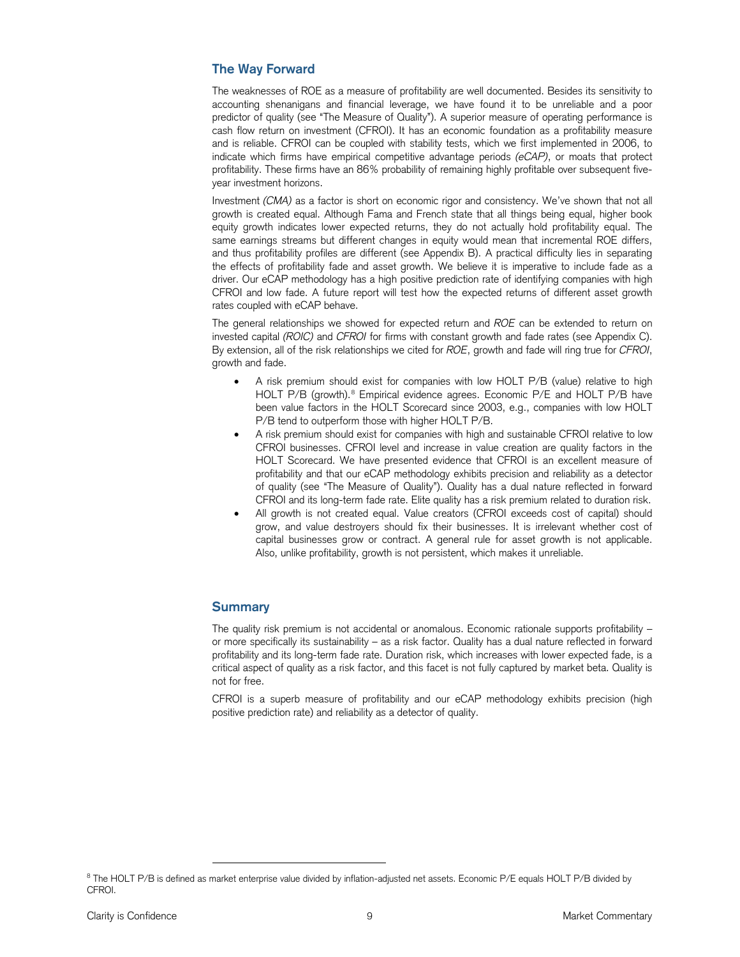# **The Way Forward**

The weaknesses of ROE as a measure of profitability are well documented. Besides its sensitivity to accounting shenanigans and financial leverage, we have found it to be unreliable and a poor predictor of quality (see "The Measure of Quality"). A superior measure of operating performance is cash flow return on investment (CFROI). It has an economic foundation as a profitability measure and is reliable. CFROI can be coupled with stability tests, which we first implemented in 2006, to indicate which firms have empirical competitive advantage periods *(eCAP)*, or moats that protect profitability. These firms have an 86% probability of remaining highly profitable over subsequent fiveyear investment horizons.

Investment *(CMA)* as a factor is short on economic rigor and consistency. We've shown that not all growth is created equal. Although Fama and French state that all things being equal, higher book equity growth indicates lower expected returns, they do not actually hold profitability equal. The same earnings streams but different changes in equity would mean that incremental ROE differs, and thus profitability profiles are different (see Appendix B). A practical difficulty lies in separating the effects of profitability fade and asset growth. We believe it is imperative to include fade as a driver. Our eCAP methodology has a high positive prediction rate of identifying companies with high CFROI and low fade. A future report will test how the expected returns of different asset growth rates coupled with eCAP behave.

The general relationships we showed for expected return and *ROE* can be extended to return on invested capital *(ROIC)* and *CFROI* for firms with constant growth and fade rates (see Appendix C). By extension, all of the risk relationships we cited for *ROE*, growth and fade will ring true for *CFROI*, growth and fade.

- A risk premium should exist for companies with low HOLT P/B (value) relative to high HOLT P/B (growth).<sup>[8](#page-8-0)</sup> Empirical evidence agrees. Economic P/E and HOLT P/B have been value factors in the HOLT Scorecard since 2003, e.g., companies with low HOLT P/B tend to outperform those with higher HOLT P/B.
- A risk premium should exist for companies with high and sustainable CFROI relative to low CFROI businesses. CFROI level and increase in value creation are quality factors in the HOLT Scorecard. We have presented evidence that CFROI is an excellent measure of profitability and that our eCAP methodology exhibits precision and reliability as a detector of quality (see "The Measure of Quality"). Quality has a dual nature reflected in forward CFROI and its long-term fade rate. Elite quality has a risk premium related to duration risk.
- All growth is not created equal. Value creators (CFROI exceeds cost of capital) should grow, and value destroyers should fix their businesses. It is irrelevant whether cost of capital businesses grow or contract. A general rule for asset growth is not applicable. Also, unlike profitability, growth is not persistent, which makes it unreliable.

# **Summary**

l

The quality risk premium is not accidental or anomalous. Economic rationale supports profitability – or more specifically its sustainability – as a risk factor. Quality has a dual nature reflected in forward profitability and its long-term fade rate. Duration risk, which increases with lower expected fade, is a critical aspect of quality as a risk factor, and this facet is not fully captured by market beta. Quality is not for free.

CFROI is a superb measure of profitability and our eCAP methodology exhibits precision (high positive prediction rate) and reliability as a detector of quality.

<span id="page-8-0"></span><sup>&</sup>lt;sup>8</sup> The HOLT P/B is defined as market enterprise value divided by inflation-adjusted net assets. Economic P/E equals HOLT P/B divided by CFROI.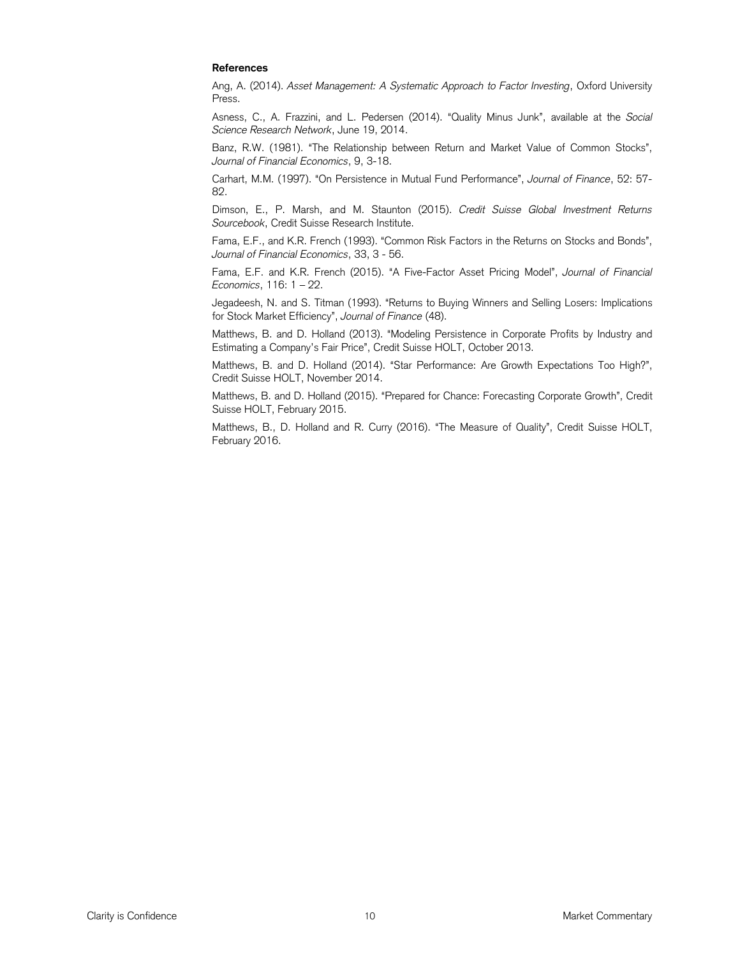# **References**

Ang, A. (2014). *Asset Management: A Systematic Approach to Factor Investing*, Oxford University Press.

Asness, C., A. Frazzini, and L. Pedersen (2014). "Quality Minus Junk", available at the *Social Science Research Network*, June 19, 2014.

Banz, R.W. (1981). "The Relationship between Return and Market Value of Common Stocks", *Journal of Financial Economics*, 9, 3-18.

Carhart, M.M. (1997). "On Persistence in Mutual Fund Performance", *Journal of Finance*, 52: 57- 82.

Dimson, E., P. Marsh, and M. Staunton (2015). *Credit Suisse Global Investment Returns Sourcebook*, Credit Suisse Research Institute.

Fama, E.F., and K.R. French (1993). "Common Risk Factors in the Returns on Stocks and Bonds", *Journal of Financial Economics*, 33, 3 - 56.

Fama, E.F. and K.R. French (2015). "A Five-Factor Asset Pricing Model", *Journal of Financial Economics*, 116: 1 – 22.

Jegadeesh, N. and S. Titman (1993). "Returns to Buying Winners and Selling Losers: Implications for Stock Market Efficiency", *Journal of Finance* (48).

Matthews, B. and D. Holland (2013). "Modeling Persistence in Corporate Profits by Industry and Estimating a Company's Fair Price", Credit Suisse HOLT, October 2013.

Matthews, B. and D. Holland (2014). "Star Performance: Are Growth Expectations Too High?", Credit Suisse HOLT, November 2014.

Matthews, B. and D. Holland (2015). "Prepared for Chance: Forecasting Corporate Growth", Credit Suisse HOLT, February 2015.

Matthews, B., D. Holland and R. Curry (2016). "The Measure of Quality", Credit Suisse HOLT, February 2016.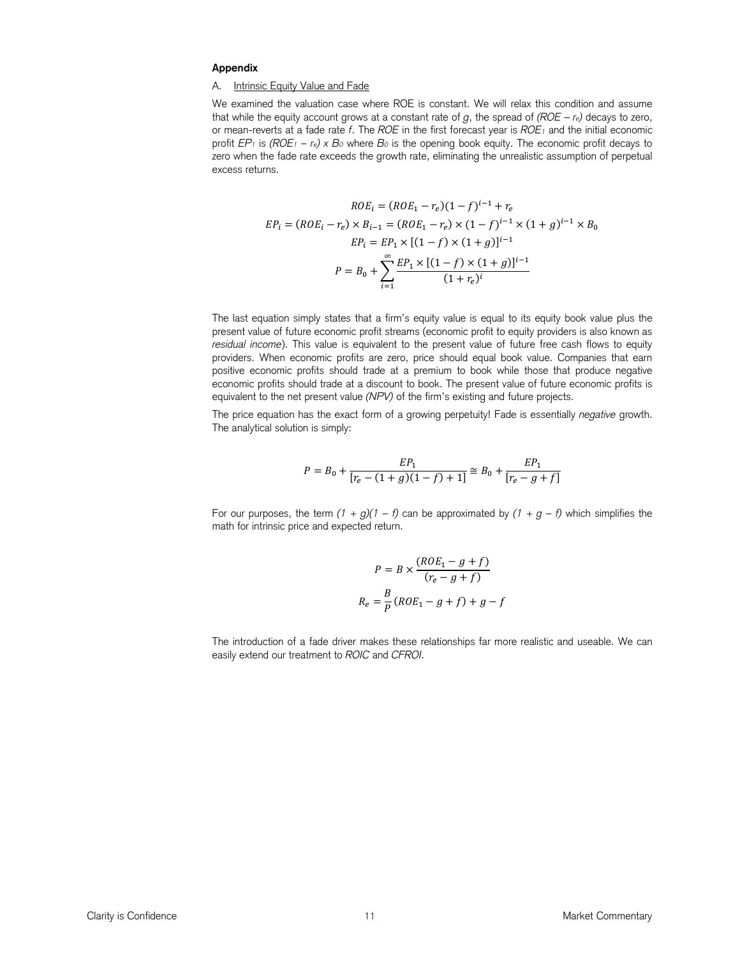#### **Appendix**

#### A. Intrinsic Equity Value and Fade

We examined the valuation case where ROE is constant. We will relax this condition and assume that while the equity account grows at a constant rate of *g*, the spread of  $(ROE - r<sub>e</sub>)$  decays to zero, or mean-reverts at a fade rate *f*. The *ROE* in the first forecast year is *ROE1* and the initial economic profit  $EP_1$  is  $(ROE_1 - r_e) \times B_0$  where  $B_0$  is the opening book equity. The economic profit decays to zero when the fade rate exceeds the growth rate, eliminating the unrealistic assumption of perpetual excess returns.

$$
ROE_i = (ROE_1 - r_e)(1 - f)^{i-1} + r_e
$$
  
\n
$$
EP_i = (ROE_i - r_e) \times B_{i-1} = (ROE_1 - r_e) \times (1 - f)^{i-1} \times (1 + g)^{i-1} \times B_0
$$
  
\n
$$
EP_i = EP_1 \times [(1 - f) \times (1 + g)]^{i-1}
$$
  
\n
$$
P = B_0 + \sum_{i=1}^{\infty} \frac{EP_1 \times [(1 - f) \times (1 + g)]^{i-1}}{(1 + r_e)^i}
$$

The last equation simply states that a firm's equity value is equal to its equity book value plus the present value of future economic profit streams (economic profit to equity providers is also known as *residual income*). This value is equivalent to the present value of future free cash flows to equity providers. When economic profits are zero, price should equal book value. Companies that earn positive economic profits should trade at a premium to book while those that produce negative economic profits should trade at a discount to book. The present value of future economic profits is equivalent to the net present value *(NPV)* of the firm's existing and future projects.

The price equation has the exact form of a growing perpetuity! Fade is essentially *negative* growth. The analytical solution is simply:

$$
P = B_0 + \frac{EP_1}{[r_e - (1+g)(1-f) + 1]} \cong B_0 + \frac{EP_1}{[r_e - g + f]}
$$

For our purposes, the term  $(1 + g)(1 - f)$  can be approximated by  $(1 + g - f)$  which simplifies the math for intrinsic price and expected return.

$$
P = B \times \frac{(ROE_1 - g + f)}{(r_e - g + f)}
$$

$$
R_e = \frac{B}{P}(ROE_1 - g + f) + g - f
$$

The introduction of a fade driver makes these relationships far more realistic and useable. We can easily extend our treatment to *ROIC* and *CFROI*.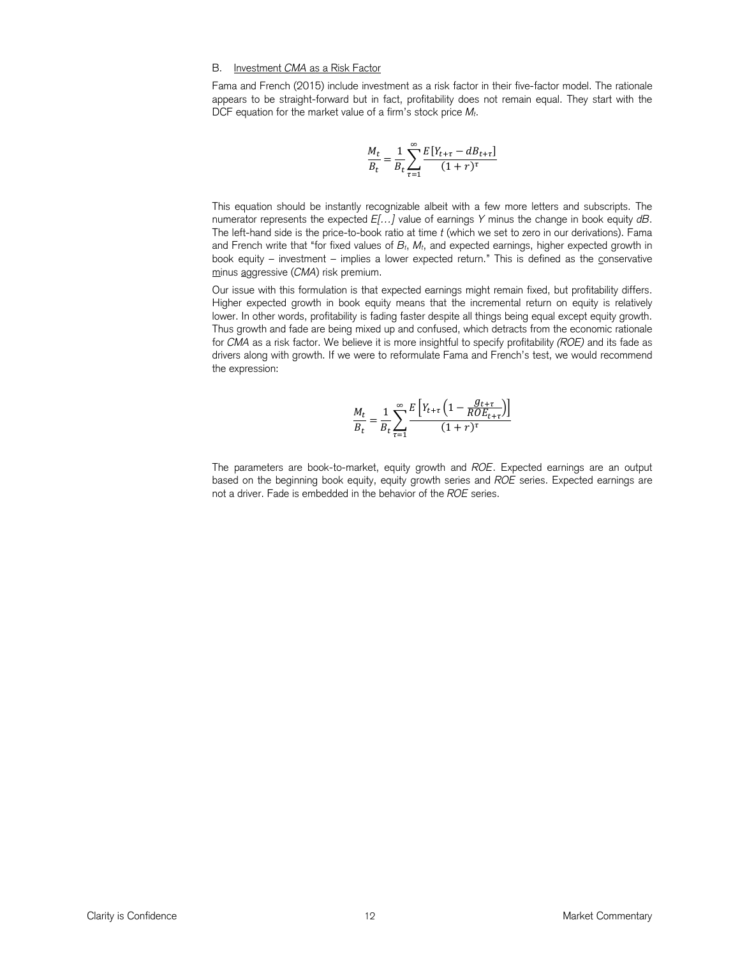# B. Investment *CMA* as a Risk Factor

Fama and French (2015) include investment as a risk factor in their five-factor model. The rationale appears to be straight-forward but in fact, profitability does not remain equal. They start with the DCF equation for the market value of a firm's stock price *Mt*.

$$
\frac{M_t}{B_t} = \frac{1}{B_t} \sum_{\tau=1}^{\infty} \frac{E[Y_{t+\tau} - dB_{t+\tau}]}{(1+r)^{\tau}}
$$

This equation should be instantly recognizable albeit with a few more letters and subscripts. The numerator represents the expected *E[…]* value of earnings *Y* minus the change in book equity *dB*. The left-hand side is the price-to-book ratio at time *t* (which we set to zero in our derivations). Fama and French write that "for fixed values of *Bt*, *Mt*, and expected earnings, higher expected growth in book equity - investment - implies a lower expected return." This is defined as the conservative minus aggressive (*CMA*) risk premium.

Our issue with this formulation is that expected earnings might remain fixed, but profitability differs. Higher expected growth in book equity means that the incremental return on equity is relatively lower. In other words, profitability is fading faster despite all things being equal except equity growth. Thus growth and fade are being mixed up and confused, which detracts from the economic rationale for *CMA* as a risk factor. We believe it is more insightful to specify profitability *(ROE)* and its fade as drivers along with growth. If we were to reformulate Fama and French's test, we would recommend the expression:

$$
\frac{M_t}{B_t} = \frac{1}{B_t} \sum_{\tau=1}^{\infty} \frac{E\left[Y_{t+\tau} \left(1 - \frac{g_{t+\tau}}{RDE_{t+\tau}}\right)\right]}{(1+r)^\tau}
$$

The parameters are book-to-market, equity growth and *ROE*. Expected earnings are an output based on the beginning book equity, equity growth series and *ROE* series. Expected earnings are not a driver. Fade is embedded in the behavior of the *ROE* series.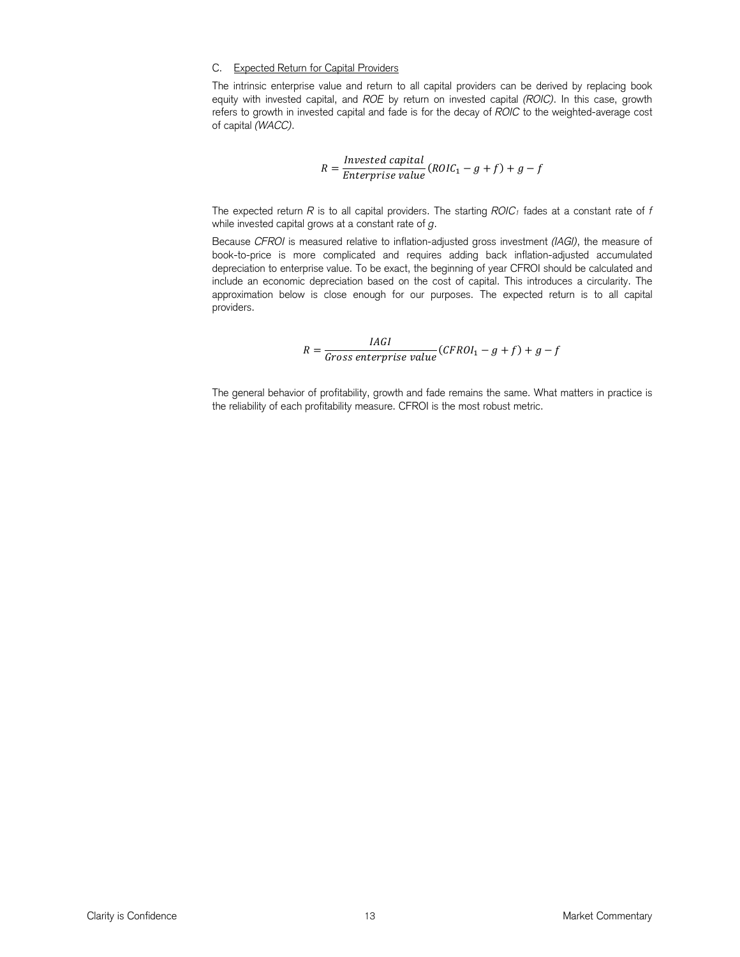# C. Expected Return for Capital Providers

The intrinsic enterprise value and return to all capital providers can be derived by replacing book equity with invested capital, and *ROE* by return on invested capital *(ROIC)*. In this case, growth refers to growth in invested capital and fade is for the decay of *ROIC* to the weighted-average cost of capital *(WACC)*.

$$
R = \frac{Invested\ capital}{Enterprise\ value} (ROIC_1 - g + f) + g - f
$$

The expected return  $R$  is to all capital providers. The starting  $ROIC_1$  fades at a constant rate of  $f$ while invested capital grows at a constant rate of *g*.

Because *CFROI* is measured relative to inflation-adjusted gross investment *(IAGI)*, the measure of book-to-price is more complicated and requires adding back inflation-adjusted accumulated depreciation to enterprise value. To be exact, the beginning of year CFROI should be calculated and include an economic depreciation based on the cost of capital. This introduces a circularity. The approximation below is close enough for our purposes. The expected return is to all capital providers.

$$
R = \frac{IAGI}{Gross\ enterprise\ value} (CFROI_1 - g + f) + g - f
$$

The general behavior of profitability, growth and fade remains the same. What matters in practice is the reliability of each profitability measure. CFROI is the most robust metric.